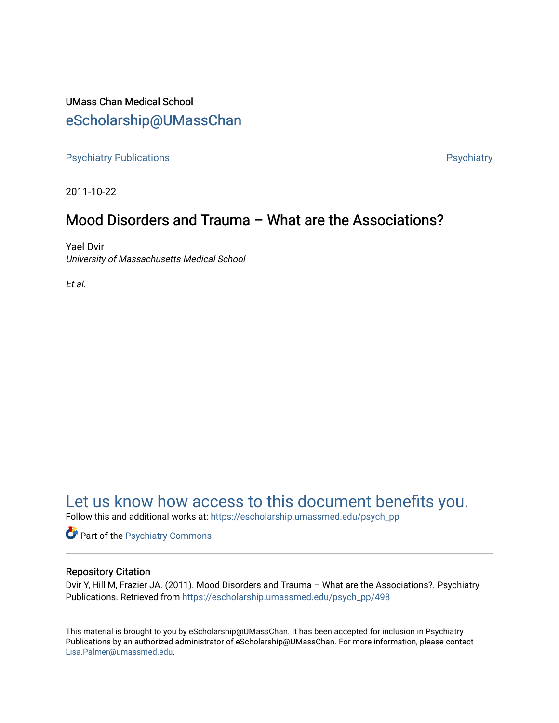### UMass Chan Medical School [eScholarship@UMassChan](https://escholarship.umassmed.edu/)

[Psychiatry Publications](https://escholarship.umassmed.edu/psych_pp) **Provides** [Psychiatry](https://escholarship.umassmed.edu/psychiatry) Psychiatry

2011-10-22

### Mood Disorders and Trauma – What are the Associations?

Yael Dvir University of Massachusetts Medical School

Et al.

## [Let us know how access to this document benefits you.](https://arcsapps.umassmed.edu/redcap/surveys/?s=XWRHNF9EJE)

Follow this and additional works at: [https://escholarship.umassmed.edu/psych\\_pp](https://escholarship.umassmed.edu/psych_pp?utm_source=escholarship.umassmed.edu%2Fpsych_pp%2F498&utm_medium=PDF&utm_campaign=PDFCoverPages) 

Part of the [Psychiatry Commons](http://network.bepress.com/hgg/discipline/704?utm_source=escholarship.umassmed.edu%2Fpsych_pp%2F498&utm_medium=PDF&utm_campaign=PDFCoverPages) 

### Repository Citation

Dvir Y, Hill M, Frazier JA. (2011). Mood Disorders and Trauma – What are the Associations?. Psychiatry Publications. Retrieved from [https://escholarship.umassmed.edu/psych\\_pp/498](https://escholarship.umassmed.edu/psych_pp/498?utm_source=escholarship.umassmed.edu%2Fpsych_pp%2F498&utm_medium=PDF&utm_campaign=PDFCoverPages)

This material is brought to you by eScholarship@UMassChan. It has been accepted for inclusion in Psychiatry Publications by an authorized administrator of eScholarship@UMassChan. For more information, please contact [Lisa.Palmer@umassmed.edu](mailto:Lisa.Palmer@umassmed.edu).